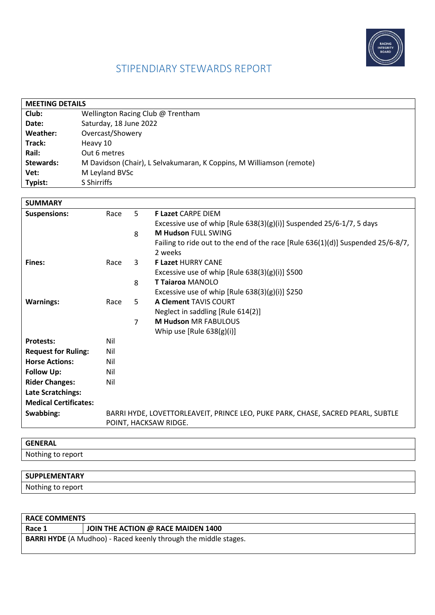

# STIPENDIARY STEWARDS REPORT

| <b>MEETING DETAILS</b> |                                                                      |  |  |
|------------------------|----------------------------------------------------------------------|--|--|
| Club:                  | Wellington Racing Club @ Trentham                                    |  |  |
| Date:                  | Saturday, 18 June 2022                                               |  |  |
| Weather:               | Overcast/Showery                                                     |  |  |
| Track:                 | Heavy 10                                                             |  |  |
| Rail:                  | Out 6 metres                                                         |  |  |
| Stewards:              | M Davidson (Chair), L Selvakumaran, K Coppins, M Williamson (remote) |  |  |
| Vet:                   | M Leyland BVSc                                                       |  |  |
| Typist:                | S Shirriffs                                                          |  |  |
|                        |                                                                      |  |  |

| <b>SUMMARY</b>               |      |     |                                                                                    |
|------------------------------|------|-----|------------------------------------------------------------------------------------|
| <b>Suspensions:</b>          | Race | 5   | <b>F Lazet CARPE DIEM</b>                                                          |
|                              |      |     | Excessive use of whip [Rule 638(3)(g)(i)] Suspended 25/6-1/7, 5 days               |
|                              |      | 8   | <b>M Hudson FULL SWING</b>                                                         |
|                              |      |     | Failing to ride out to the end of the race [Rule $636(1)(d)$ ] Suspended 25/6-8/7, |
|                              |      |     | 2 weeks                                                                            |
| <b>Fines:</b>                | Race | 3   | <b>F Lazet HURRY CANE</b>                                                          |
|                              |      |     | Excessive use of whip $[Rule 638(3)(g)(i)]$ \$500                                  |
|                              |      | 8   | <b>T Taiaroa MANOLO</b>                                                            |
|                              |      |     | Excessive use of whip [Rule $638(3)(g)(i)$ ] \$250                                 |
| <b>Warnings:</b>             | Race | .5. | A Clement TAVIS COURT                                                              |
|                              |      |     | Neglect in saddling [Rule 614(2)]                                                  |
|                              |      | 7   | <b>M Hudson MR FABULOUS</b>                                                        |
|                              |      |     | Whip use $[Rule 638(g)(i)]$                                                        |
| <b>Protests:</b>             | Nil  |     |                                                                                    |
| <b>Request for Ruling:</b>   | Nil  |     |                                                                                    |
| <b>Horse Actions:</b>        | Nil  |     |                                                                                    |
| <b>Follow Up:</b>            | Nil  |     |                                                                                    |
| <b>Rider Changes:</b>        | Nil  |     |                                                                                    |
| Late Scratchings:            |      |     |                                                                                    |
| <b>Medical Certificates:</b> |      |     |                                                                                    |
| Swabbing:                    |      |     | BARRI HYDE, LOVETTORLEAVEIT, PRINCE LEO, PUKE PARK, CHASE, SACRED PEARL, SUBTLE    |
|                              |      |     | POINT, HACKSAW RIDGE.                                                              |
|                              |      |     |                                                                                    |

# **GENERAL** Nothing to report

| <b>SUPPLEMENTARY</b> |  |
|----------------------|--|
| Nothing to report    |  |
|                      |  |

| <b>RACE COMMENTS</b>                                                   |                                    |  |
|------------------------------------------------------------------------|------------------------------------|--|
| Race 1                                                                 | JOIN THE ACTION @ RACE MAIDEN 1400 |  |
| <b>BARRI HYDE</b> (A Mudhoo) - Raced keenly through the middle stages. |                                    |  |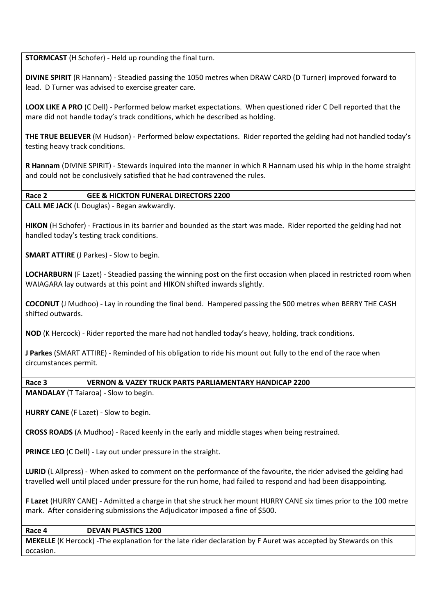**STORMCAST** (H Schofer) - Held up rounding the final turn.

**DIVINE SPIRIT** (R Hannam) - Steadied passing the 1050 metres when DRAW CARD (D Turner) improved forward to lead. D Turner was advised to exercise greater care.

**LOOX LIKE A PRO** (C Dell) - Performed below market expectations. When questioned rider C Dell reported that the mare did not handle today's track conditions, which he described as holding.

**THE TRUE BELIEVER** (M Hudson) - Performed below expectations. Rider reported the gelding had not handled today's testing heavy track conditions.

**R Hannam** (DIVINE SPIRIT) - Stewards inquired into the manner in which R Hannam used his whip in the home straight and could not be conclusively satisfied that he had contravened the rules.

## **Race 2 GEE & HICKTON FUNERAL DIRECTORS 2200**

**CALL ME JACK** (L Douglas) - Began awkwardly.

**HIKON** (H Schofer) - Fractious in its barrier and bounded as the start was made. Rider reported the gelding had not handled today's testing track conditions.

**SMART ATTIRE** (J Parkes) - Slow to begin.

**LOCHARBURN** (F Lazet) - Steadied passing the winning post on the first occasion when placed in restricted room when WAIAGARA lay outwards at this point and HIKON shifted inwards slightly.

**COCONUT** (J Mudhoo) - Lay in rounding the final bend. Hampered passing the 500 metres when BERRY THE CASH shifted outwards.

**NOD** (K Hercock) - Rider reported the mare had not handled today's heavy, holding, track conditions.

**J Parkes** (SMART ATTIRE) - Reminded of his obligation to ride his mount out fully to the end of the race when circumstances permit.

## **Race 3 VERNON & VAZEY TRUCK PARTS PARLIAMENTARY HANDICAP 2200**

**MANDALAY** (T Taiaroa) - Slow to begin.

**HURRY CANE** (F Lazet) - Slow to begin.

**CROSS ROADS** (A Mudhoo) - Raced keenly in the early and middle stages when being restrained.

**PRINCE LEO** (C Dell) - Lay out under pressure in the straight.

**LURID** (L Allpress) - When asked to comment on the performance of the favourite, the rider advised the gelding had travelled well until placed under pressure for the run home, had failed to respond and had been disappointing.

**F Lazet** (HURRY CANE) - Admitted a charge in that she struck her mount HURRY CANE six times prior to the 100 metre mark. After considering submissions the Adjudicator imposed a fine of \$500.

**Race 4 DEVAN PLASTICS 1200 MEKELLE** (K Hercock) -The explanation for the late rider declaration by F Auret was accepted by Stewards on this occasion.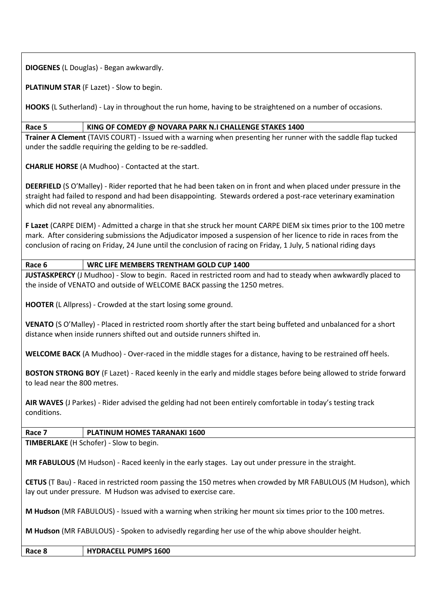**DIOGENES** (L Douglas) - Began awkwardly.

**PLATINUM STAR** (F Lazet) - Slow to begin.

**HOOKS** (L Sutherland) - Lay in throughout the run home, having to be straightened on a number of occasions.

#### **Race 5 KING OF COMEDY @ NOVARA PARK N.I CHALLENGE STAKES 1400**

**Trainer A Clement** (TAVIS COURT) - Issued with a warning when presenting her runner with the saddle flap tucked under the saddle requiring the gelding to be re-saddled.

**CHARLIE HORSE** (A Mudhoo) - Contacted at the start.

**DEERFIELD** (S O'Malley) - Rider reported that he had been taken on in front and when placed under pressure in the straight had failed to respond and had been disappointing. Stewards ordered a post-race veterinary examination which did not reveal any abnormalities.

**F Lazet** (CARPE DIEM) - Admitted a charge in that she struck her mount CARPE DIEM six times prior to the 100 metre mark. After considering submissions the Adjudicator imposed a suspension of her licence to ride in races from the conclusion of racing on Friday, 24 June until the conclusion of racing on Friday, 1 July, 5 national riding days

#### **Race 6 WRC LIFE MEMBERS TRENTHAM GOLD CUP 1400**

**JUSTASKPERCY** (J Mudhoo) - Slow to begin. Raced in restricted room and had to steady when awkwardly placed to the inside of VENATO and outside of WELCOME BACK passing the 1250 metres.

**HOOTER** (L Allpress) - Crowded at the start losing some ground.

**VENATO** (S O'Malley) - Placed in restricted room shortly after the start being buffeted and unbalanced for a short distance when inside runners shifted out and outside runners shifted in.

**WELCOME BACK** (A Mudhoo) - Over-raced in the middle stages for a distance, having to be restrained off heels.

**BOSTON STRONG BOY** (F Lazet) - Raced keenly in the early and middle stages before being allowed to stride forward to lead near the 800 metres.

**AIR WAVES** (J Parkes) - Rider advised the gelding had not been entirely comfortable in today's testing track conditions.

**Race 7 PLATINUM HOMES TARANAKI 1600 TIMBERLAKE** (H Schofer) - Slow to begin.

**MR FABULOUS** (M Hudson) - Raced keenly in the early stages. Lay out under pressure in the straight.

**CETUS** (T Bau) - Raced in restricted room passing the 150 metres when crowded by MR FABULOUS (M Hudson), which lay out under pressure. M Hudson was advised to exercise care.

**M Hudson** (MR FABULOUS) - Issued with a warning when striking her mount six times prior to the 100 metres.

**M Hudson** (MR FABULOUS) - Spoken to advisedly regarding her use of the whip above shoulder height.

**Race 8 HYDRACELL PUMPS 1600**